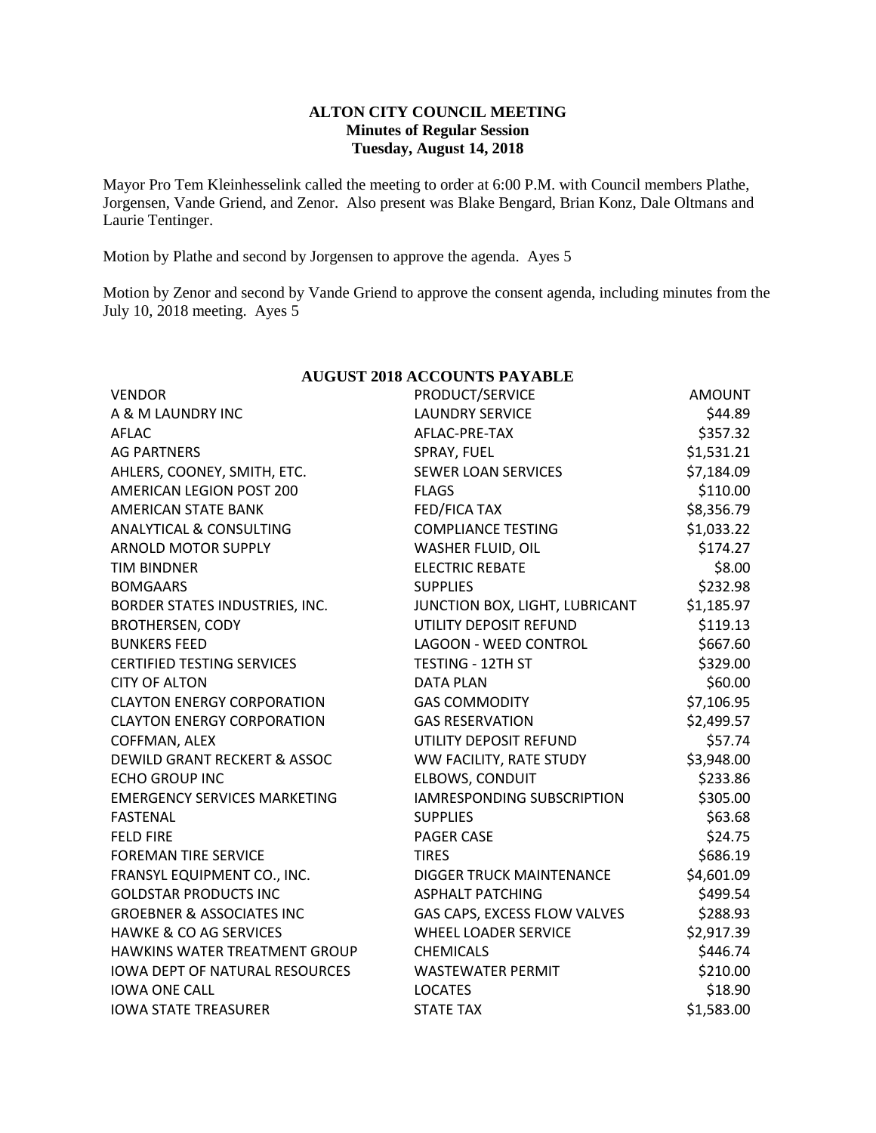#### **ALTON CITY COUNCIL MEETING Minutes of Regular Session Tuesday, August 14, 2018**

Mayor Pro Tem Kleinhesselink called the meeting to order at 6:00 P.M. with Council members Plathe, Jorgensen, Vande Griend, and Zenor. Also present was Blake Bengard, Brian Konz, Dale Oltmans and Laurie Tentinger.

Motion by Plathe and second by Jorgensen to approve the agenda. Ayes 5

Motion by Zenor and second by Vande Griend to approve the consent agenda, including minutes from the July 10, 2018 meeting. Ayes 5

| AUGUST ZUIS ACCOUNTS PAYABLE          |                                   |               |  |  |  |  |
|---------------------------------------|-----------------------------------|---------------|--|--|--|--|
| <b>VENDOR</b>                         | PRODUCT/SERVICE                   | <b>AMOUNT</b> |  |  |  |  |
| A & M LAUNDRY INC                     | <b>LAUNDRY SERVICE</b>            | \$44.89       |  |  |  |  |
| <b>AFLAC</b>                          | AFLAC-PRE-TAX                     | \$357.32      |  |  |  |  |
| <b>AG PARTNERS</b>                    | SPRAY, FUEL                       | \$1,531.21    |  |  |  |  |
| AHLERS, COONEY, SMITH, ETC.           | <b>SEWER LOAN SERVICES</b>        | \$7,184.09    |  |  |  |  |
| <b>AMERICAN LEGION POST 200</b>       | <b>FLAGS</b>                      | \$110.00      |  |  |  |  |
| <b>AMERICAN STATE BANK</b>            | FED/FICA TAX                      | \$8,356.79    |  |  |  |  |
| <b>ANALYTICAL &amp; CONSULTING</b>    | <b>COMPLIANCE TESTING</b>         | \$1,033.22    |  |  |  |  |
| <b>ARNOLD MOTOR SUPPLY</b>            | WASHER FLUID, OIL                 | \$174.27      |  |  |  |  |
| <b>TIM BINDNER</b>                    | <b>ELECTRIC REBATE</b>            | \$8.00        |  |  |  |  |
| <b>BOMGAARS</b>                       | <b>SUPPLIES</b>                   | \$232.98      |  |  |  |  |
| BORDER STATES INDUSTRIES, INC.        | JUNCTION BOX, LIGHT, LUBRICANT    | \$1,185.97    |  |  |  |  |
| <b>BROTHERSEN, CODY</b>               | UTILITY DEPOSIT REFUND            | \$119.13      |  |  |  |  |
| <b>BUNKERS FEED</b>                   | <b>LAGOON - WEED CONTROL</b>      | \$667.60      |  |  |  |  |
| <b>CERTIFIED TESTING SERVICES</b>     | <b>TESTING - 12TH ST</b>          | \$329.00      |  |  |  |  |
| <b>CITY OF ALTON</b>                  | <b>DATA PLAN</b>                  | \$60.00       |  |  |  |  |
| <b>CLAYTON ENERGY CORPORATION</b>     | <b>GAS COMMODITY</b>              | \$7,106.95    |  |  |  |  |
| <b>CLAYTON ENERGY CORPORATION</b>     | <b>GAS RESERVATION</b>            | \$2,499.57    |  |  |  |  |
| COFFMAN, ALEX                         | UTILITY DEPOSIT REFUND            | \$57.74       |  |  |  |  |
| DEWILD GRANT RECKERT & ASSOC          | WW FACILITY, RATE STUDY           | \$3,948.00    |  |  |  |  |
| <b>ECHO GROUP INC</b>                 | <b>ELBOWS, CONDUIT</b>            | \$233.86      |  |  |  |  |
| <b>EMERGENCY SERVICES MARKETING</b>   | <b>IAMRESPONDING SUBSCRIPTION</b> | \$305.00      |  |  |  |  |
| <b>FASTENAL</b>                       | <b>SUPPLIES</b>                   | \$63.68       |  |  |  |  |
| <b>FELD FIRE</b>                      | <b>PAGER CASE</b>                 | \$24.75       |  |  |  |  |
| <b>FOREMAN TIRE SERVICE</b>           | <b>TIRES</b>                      | \$686.19      |  |  |  |  |
| FRANSYL EQUIPMENT CO., INC.           | <b>DIGGER TRUCK MAINTENANCE</b>   | \$4,601.09    |  |  |  |  |
| <b>GOLDSTAR PRODUCTS INC</b>          | <b>ASPHALT PATCHING</b>           | \$499.54      |  |  |  |  |
| <b>GROEBNER &amp; ASSOCIATES INC</b>  | GAS CAPS, EXCESS FLOW VALVES      | \$288.93      |  |  |  |  |
| <b>HAWKE &amp; CO AG SERVICES</b>     | <b>WHEEL LOADER SERVICE</b>       | \$2,917.39    |  |  |  |  |
| HAWKINS WATER TREATMENT GROUP         | <b>CHEMICALS</b>                  | \$446.74      |  |  |  |  |
| <b>IOWA DEPT OF NATURAL RESOURCES</b> | <b>WASTEWATER PERMIT</b>          | \$210.00      |  |  |  |  |
| <b>IOWA ONE CALL</b>                  | <b>LOCATES</b>                    | \$18.90       |  |  |  |  |
| <b>IOWA STATE TREASURER</b>           | <b>STATE TAX</b>                  | \$1,583.00    |  |  |  |  |

# **AUGUST 2018 ACCOUNTS PAYABLE**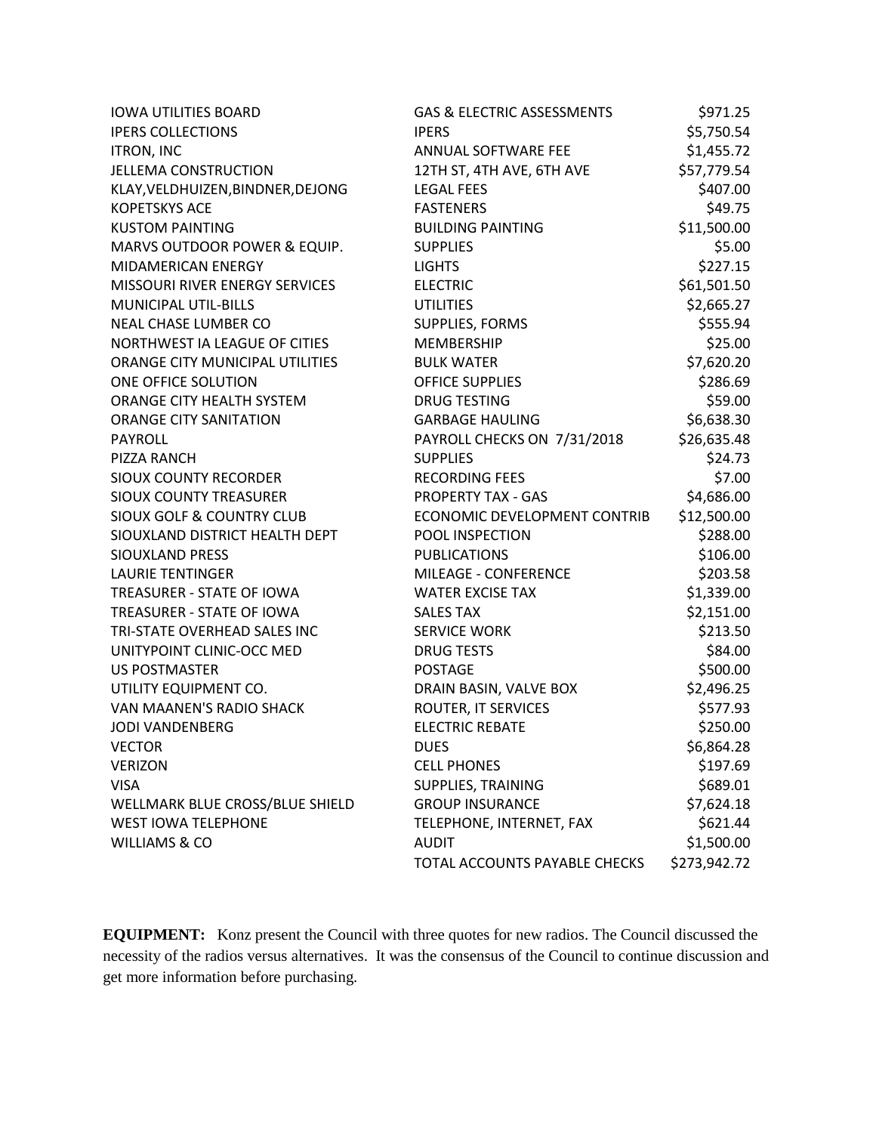| <b>IOWA UTILITIES BOARD</b>          | GAS & ELECTRIC ASSESSMENTS    | \$971.25     |
|--------------------------------------|-------------------------------|--------------|
| <b>IPERS COLLECTIONS</b>             | <b>IPERS</b>                  | \$5,750.54   |
| <b>ITRON, INC</b>                    | ANNUAL SOFTWARE FEE           | \$1,455.72   |
| <b>JELLEMA CONSTRUCTION</b>          | 12TH ST, 4TH AVE, 6TH AVE     | \$57,779.54  |
| KLAY, VELDHUIZEN, BINDNER, DEJONG    | <b>LEGAL FEES</b>             | \$407.00     |
| <b>KOPETSKYS ACE</b>                 | <b>FASTENERS</b>              | \$49.75      |
| <b>KUSTOM PAINTING</b>               | <b>BUILDING PAINTING</b>      | \$11,500.00  |
| MARVS OUTDOOR POWER & EQUIP.         | <b>SUPPLIES</b>               | \$5.00       |
| MIDAMERICAN ENERGY                   | <b>LIGHTS</b>                 | \$227.15     |
| MISSOURI RIVER ENERGY SERVICES       | <b>ELECTRIC</b>               | \$61,501.50  |
| <b>MUNICIPAL UTIL-BILLS</b>          | <b>UTILITIES</b>              | \$2,665.27   |
| <b>NEAL CHASE LUMBER CO</b>          | SUPPLIES, FORMS               | \$555.94     |
| NORTHWEST IA LEAGUE OF CITIES        | MEMBERSHIP                    | \$25.00      |
| ORANGE CITY MUNICIPAL UTILITIES      | <b>BULK WATER</b>             | \$7,620.20   |
| ONE OFFICE SOLUTION                  | <b>OFFICE SUPPLIES</b>        | \$286.69     |
| ORANGE CITY HEALTH SYSTEM            | <b>DRUG TESTING</b>           | \$59.00      |
| <b>ORANGE CITY SANITATION</b>        | <b>GARBAGE HAULING</b>        | \$6,638.30   |
| <b>PAYROLL</b>                       | PAYROLL CHECKS ON 7/31/2018   | \$26,635.48  |
| PIZZA RANCH                          | <b>SUPPLIES</b>               | \$24.73      |
| <b>SIOUX COUNTY RECORDER</b>         | <b>RECORDING FEES</b>         | \$7.00       |
| <b>SIOUX COUNTY TREASURER</b>        | <b>PROPERTY TAX - GAS</b>     | \$4,686.00   |
| <b>SIOUX GOLF &amp; COUNTRY CLUB</b> | ECONOMIC DEVELOPMENT CONTRIB  | \$12,500.00  |
| SIOUXLAND DISTRICT HEALTH DEPT       | POOL INSPECTION               | \$288.00     |
| <b>SIOUXLAND PRESS</b>               | <b>PUBLICATIONS</b>           | \$106.00     |
| <b>LAURIE TENTINGER</b>              | <b>MILEAGE - CONFERENCE</b>   | \$203.58     |
| TREASURER - STATE OF IOWA            | <b>WATER EXCISE TAX</b>       | \$1,339.00   |
| TREASURER - STATE OF IOWA            | <b>SALES TAX</b>              | \$2,151.00   |
| TRI-STATE OVERHEAD SALES INC         | <b>SERVICE WORK</b>           | \$213.50     |
| UNITYPOINT CLINIC-OCC MED            | <b>DRUG TESTS</b>             | \$84.00      |
| <b>US POSTMASTER</b>                 | <b>POSTAGE</b>                | \$500.00     |
| UTILITY EQUIPMENT CO.                | DRAIN BASIN, VALVE BOX        | \$2,496.25   |
| VAN MAANEN'S RADIO SHACK             | ROUTER, IT SERVICES           | \$577.93     |
| JODI VANDENBERG                      | <b>ELECTRIC REBATE</b>        | \$250.00     |
| <b>VECTOR</b>                        | <b>DUES</b>                   | \$6,864.28   |
| <b>VERIZON</b>                       | <b>CELL PHONES</b>            | \$197.69     |
| <b>VISA</b>                          | SUPPLIES, TRAINING            | \$689.01     |
| WELLMARK BLUE CROSS/BLUE SHIELD      | <b>GROUP INSURANCE</b>        | \$7,624.18   |
| <b>WEST IOWA TELEPHONE</b>           | TELEPHONE, INTERNET, FAX      | \$621.44     |
| <b>WILLIAMS &amp; CO</b>             | <b>AUDIT</b>                  | \$1,500.00   |
|                                      | TOTAL ACCOUNTS PAYABLE CHECKS | \$273,942.72 |

**EQUIPMENT:** Konz present the Council with three quotes for new radios. The Council discussed the necessity of the radios versus alternatives. It was the consensus of the Council to continue discussion and get more information before purchasing.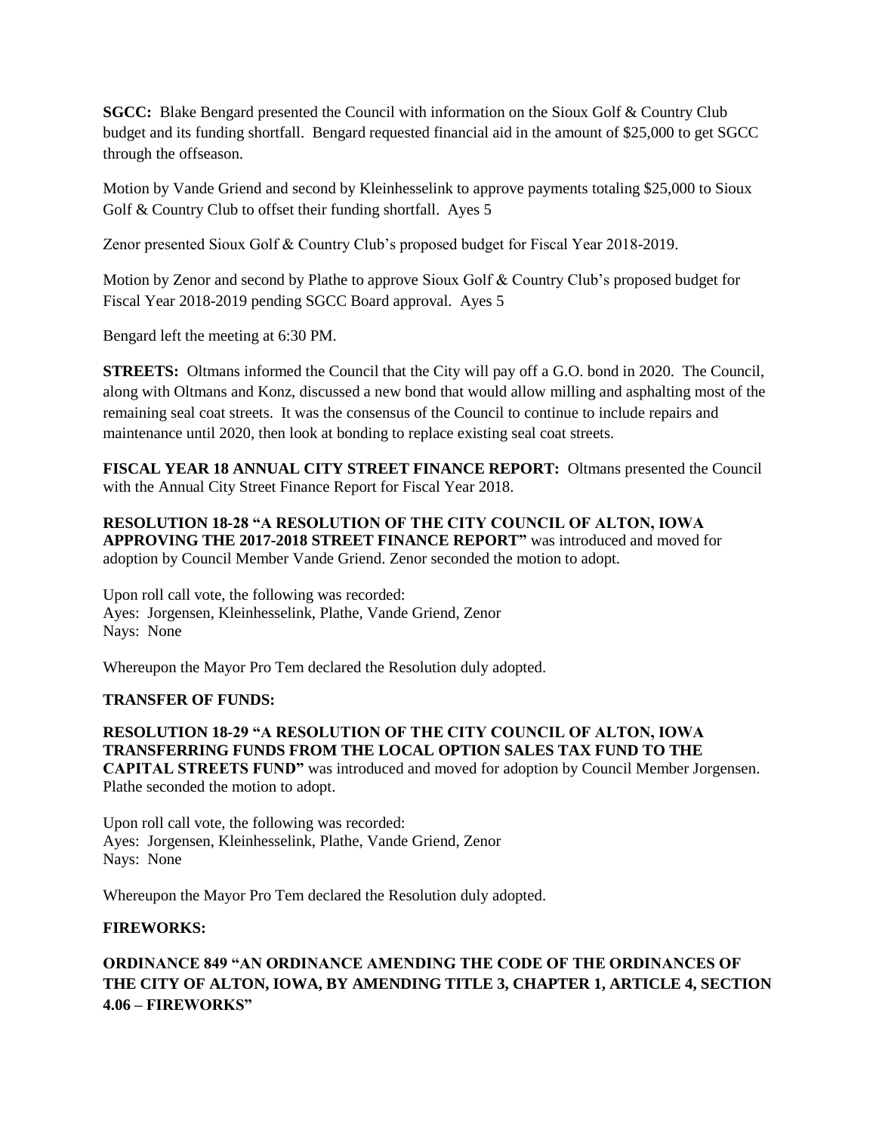**SGCC:** Blake Bengard presented the Council with information on the Sioux Golf & Country Club budget and its funding shortfall. Bengard requested financial aid in the amount of \$25,000 to get SGCC through the offseason.

Motion by Vande Griend and second by Kleinhesselink to approve payments totaling \$25,000 to Sioux Golf & Country Club to offset their funding shortfall. Ayes 5

Zenor presented Sioux Golf & Country Club's proposed budget for Fiscal Year 2018-2019.

Motion by Zenor and second by Plathe to approve Sioux Golf & Country Club's proposed budget for Fiscal Year 2018-2019 pending SGCC Board approval. Ayes 5

Bengard left the meeting at 6:30 PM.

**STREETS:** Oltmans informed the Council that the City will pay off a G.O. bond in 2020. The Council, along with Oltmans and Konz, discussed a new bond that would allow milling and asphalting most of the remaining seal coat streets. It was the consensus of the Council to continue to include repairs and maintenance until 2020, then look at bonding to replace existing seal coat streets.

**FISCAL YEAR 18 ANNUAL CITY STREET FINANCE REPORT:** Oltmans presented the Council with the Annual City Street Finance Report for Fiscal Year 2018.

### **RESOLUTION 18-28 "A RESOLUTION OF THE CITY COUNCIL OF ALTON, IOWA APPROVING THE 2017-2018 STREET FINANCE REPORT"** was introduced and moved for adoption by Council Member Vande Griend. Zenor seconded the motion to adopt.

Upon roll call vote, the following was recorded: Ayes: Jorgensen, Kleinhesselink, Plathe, Vande Griend, Zenor Nays: None

Whereupon the Mayor Pro Tem declared the Resolution duly adopted.

## **TRANSFER OF FUNDS:**

#### **RESOLUTION 18-29 "A RESOLUTION OF THE CITY COUNCIL OF ALTON, IOWA TRANSFERRING FUNDS FROM THE LOCAL OPTION SALES TAX FUND TO THE CAPITAL STREETS FUND"** was introduced and moved for adoption by Council Member Jorgensen. Plathe seconded the motion to adopt.

Upon roll call vote, the following was recorded: Ayes: Jorgensen, Kleinhesselink, Plathe, Vande Griend, Zenor Nays: None

Whereupon the Mayor Pro Tem declared the Resolution duly adopted.

#### **FIREWORKS:**

## **ORDINANCE 849 "AN ORDINANCE AMENDING THE CODE OF THE ORDINANCES OF THE CITY OF ALTON, IOWA, BY AMENDING TITLE 3, CHAPTER 1, ARTICLE 4, SECTION 4.06 – FIREWORKS"**